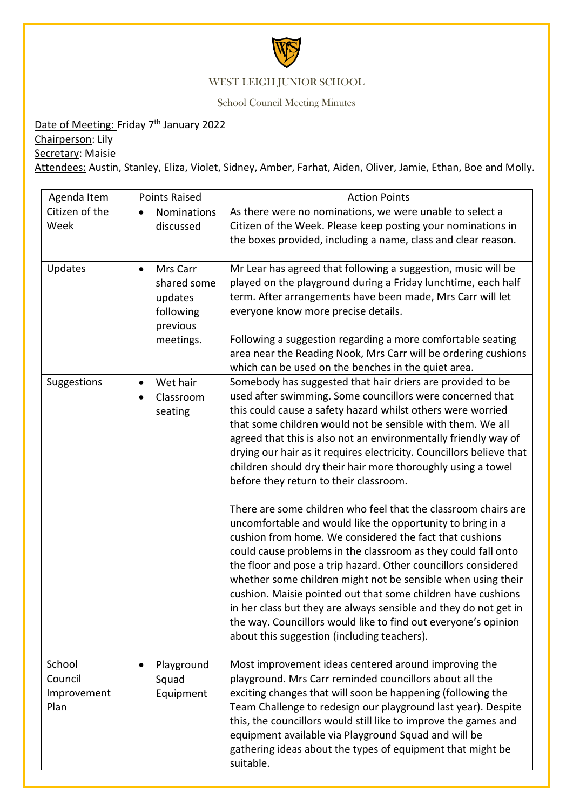

## WEST LEIGH JUNIOR SCHOOL

School Council Meeting Minutes

Date of Meeting: Friday 7<sup>th</sup> January 2022

Chairperson: Lily

Secretary: Maisie

Attendees: Austin, Stanley, Eliza, Violet, Sidney, Amber, Farhat, Aiden, Oliver, Jamie, Ethan, Boe and Molly.

| Agenda Item                              | <b>Points Raised</b>                                                                  | <b>Action Points</b>                                                                                                                                                                                                                                                                                                                                                                                                                                                                                                                                                                                                                                                                                                                                                                                                                                                                                                                                                                                                                                                                                                                                         |
|------------------------------------------|---------------------------------------------------------------------------------------|--------------------------------------------------------------------------------------------------------------------------------------------------------------------------------------------------------------------------------------------------------------------------------------------------------------------------------------------------------------------------------------------------------------------------------------------------------------------------------------------------------------------------------------------------------------------------------------------------------------------------------------------------------------------------------------------------------------------------------------------------------------------------------------------------------------------------------------------------------------------------------------------------------------------------------------------------------------------------------------------------------------------------------------------------------------------------------------------------------------------------------------------------------------|
| Citizen of the<br>Week                   | Nominations<br>discussed                                                              | As there were no nominations, we were unable to select a<br>Citizen of the Week. Please keep posting your nominations in<br>the boxes provided, including a name, class and clear reason.                                                                                                                                                                                                                                                                                                                                                                                                                                                                                                                                                                                                                                                                                                                                                                                                                                                                                                                                                                    |
| Updates                                  | Mrs Carr<br>$\bullet$<br>shared some<br>updates<br>following<br>previous<br>meetings. | Mr Lear has agreed that following a suggestion, music will be<br>played on the playground during a Friday lunchtime, each half<br>term. After arrangements have been made, Mrs Carr will let<br>everyone know more precise details.<br>Following a suggestion regarding a more comfortable seating<br>area near the Reading Nook, Mrs Carr will be ordering cushions<br>which can be used on the benches in the quiet area.                                                                                                                                                                                                                                                                                                                                                                                                                                                                                                                                                                                                                                                                                                                                  |
| Suggestions                              | Wet hair<br>$\bullet$<br>Classroom<br>seating                                         | Somebody has suggested that hair driers are provided to be<br>used after swimming. Some councillors were concerned that<br>this could cause a safety hazard whilst others were worried<br>that some children would not be sensible with them. We all<br>agreed that this is also not an environmentally friendly way of<br>drying our hair as it requires electricity. Councillors believe that<br>children should dry their hair more thoroughly using a towel<br>before they return to their classroom.<br>There are some children who feel that the classroom chairs are<br>uncomfortable and would like the opportunity to bring in a<br>cushion from home. We considered the fact that cushions<br>could cause problems in the classroom as they could fall onto<br>the floor and pose a trip hazard. Other councillors considered<br>whether some children might not be sensible when using their<br>cushion. Maisie pointed out that some children have cushions<br>in her class but they are always sensible and they do not get in<br>the way. Councillors would like to find out everyone's opinion<br>about this suggestion (including teachers). |
| School<br>Council<br>Improvement<br>Plan | Playground<br>Squad<br>Equipment                                                      | Most improvement ideas centered around improving the<br>playground. Mrs Carr reminded councillors about all the<br>exciting changes that will soon be happening (following the<br>Team Challenge to redesign our playground last year). Despite<br>this, the councillors would still like to improve the games and<br>equipment available via Playground Squad and will be<br>gathering ideas about the types of equipment that might be<br>suitable.                                                                                                                                                                                                                                                                                                                                                                                                                                                                                                                                                                                                                                                                                                        |